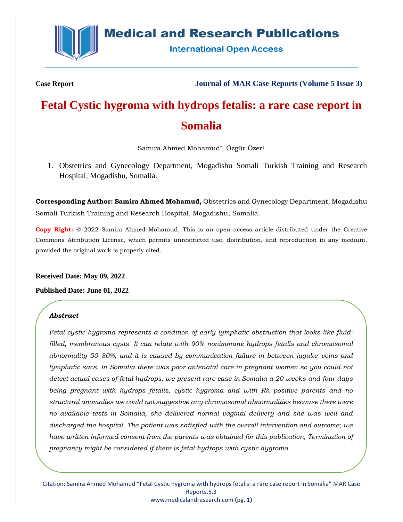

# **Medical and Research Publications**

**International Open Access** 

**Case Report Journal of MAR Case Reports (Volume 5 Issue 3)**

# **Fetal Cystic hygroma with hydrops fetalis: a rare case report in Somalia**

Samira Ahmed Mohamud\* , Özgür Özer<sup>1</sup>

1. Obstetrics and Gynecology Department, Mogadishu Somali Turkish Training and Research Hospital, Mogadishu, Somalia.

**Corresponding Author: Samira Ahmed Mohamud,** Obstetrics and Gynecology Department, Mogadishu Somali Turkish Training and Research Hospital, Mogadishu, Somalia.

**Copy Right:** © 2022 Samira Ahmed Mohamud, This is an open access article distributed under the Creative Commons Attribution License, which permits unrestricted use, distribution, and reproduction in any medium, provided the original work is properly cited.

**Received Date: May 09, 2022**

**Published Date: June 01, 2022**

### *Abstract*

*Fetal cystic hygroma represents a condition of early lymphatic obstruction that looks like fluidfilled, membranous cysts. It can relate with 90% nonimmune hydrops fetalis and chromosomal abnormality 50–80%, and it is caused by communication failure in between jugular veins and lymphatic sacs. In Somalia there was poor antenatal care in pregnant women so you could not detect actual cases of fetal hydrops, we present rare case in Somalia a 20 weeks and four days being pregnant with hydrops fetalis, cystic hygroma and with Rh positive parents and no structural anomalies we could not suggestive any chromosomal abnormalities because there were no available tests in Somalia, she delivered normal vaginal delivery and she was well and discharged the hospital. The patient was satisfied with the overall intervention and outcome; we have written informed consent from the parents was obtained for this publication, Termination of pregnancy might be considered if there is fetal hydrops with cystic hygroma.*

Citation: Samira Ahmed Mohamud "Fetal Cystic hygroma with hydrops fetalis: a rare case report in Somalia" MAR Case Reports.5.3 [www.medicalandresearch.com](http://www.medicalandresearch.com/) **(**pg. 1**)**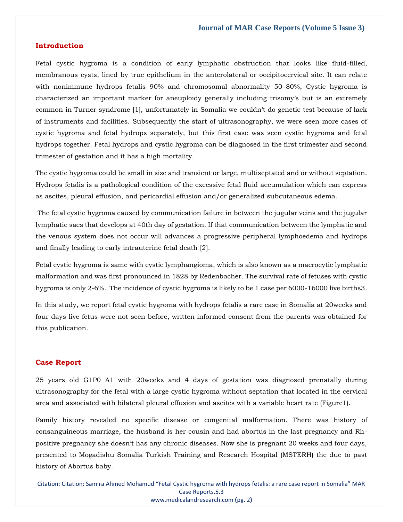#### **Introduction**

Fetal cystic hygroma is a condition of early lymphatic obstruction that looks like fluid-filled, membranous cysts, lined by true epithelium in the anterolateral or occipitocervical site. It can relate with nonimmune hydrops fetalis 90% and chromosomal abnormality 50–80%, Cystic hygroma is characterized an important marker for aneuploidy generally including trisomy's but is an extremely common in Turner syndrome [1], unfortunately in Somalia we couldn't do genetic test because of lack of instruments and facilities. Subsequently the start of ultrasonography, we were seen more cases of cystic hygroma and fetal hydrops separately, but this first case was seen cystic hygroma and fetal hydrops together. Fetal hydrops and cystic hygroma can be diagnosed in the first trimester and second trimester of gestation and it has a high mortality.

The cystic hygroma could be small in size and transient or large, multiseptated and or without septation. Hydrops fetalis is a pathological condition of the excessive fetal fluid accumulation which can express as ascites, pleural effusion, and pericardial effusion and/or generalized subcutaneous edema.

The fetal cystic hygroma caused by communication failure in between the jugular veins and the jugular lymphatic sacs that develops at 40th day of gestation. If that communication between the lymphatic and the venous system does not occur will advances a progressive peripheral lymphoedema and hydrops and finally leading to early intrauterine fetal death [2].

Fetal cystic hygroma is same with cystic lymphangioma, which is also known as a macrocytic lymphatic malformation and was first pronounced in 1828 by Redenbacher. The survival rate of fetuses with cystic hygroma is only 2-6%. The incidence of cystic hygroma is likely to be 1 case per 6000-16000 live births3.

In this study, we report fetal cystic hygroma with hydrops fetalis a rare case in Somalia at 20weeks and four days live fetus were not seen before, written informed consent from the parents was obtained for this publication.

#### **Case Report**

25 years old G1P0 A1 with 20weeks and 4 days of gestation was diagnosed prenatally during ultrasonography for the fetal with a large cystic hygroma without septation that located in the cervical area and associated with bilateral pleural effusion and ascites with a variable heart rate (Figure1).

Family history revealed no specific disease or congenital malformation. There was history of consanguineous marriage, the husband is her cousin and had abortus in the last pregnancy and Rhpositive pregnancy she doesn't has any chronic diseases. Now she is pregnant 20 weeks and four days, presented to Mogadishu Somalia Turkish Training and Research Hospital (MSTERH) the due to past history of Abortus baby.

Citation: Citation: Samira Ahmed Mohamud "Fetal Cystic hygroma with hydrops fetalis: a rare case report in Somalia" MAR Case Reports.5.3 [www.medicalandresearch.com](http://www.medicalandresearch.com/) **(**pg. 2**)**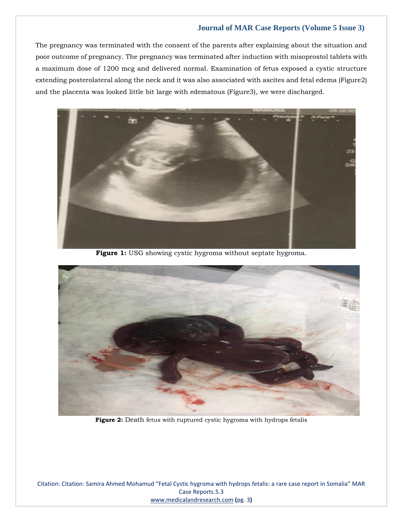# **Journal of MAR Case Reports (Volume 5 Issue 3)**

The pregnancy was terminated with the consent of the parents after explaining about the situation and poor outcome of pregnancy. The pregnancy was terminated after induction with misoprostol tablets with a maximum dose of 1200 mcg and delivered normal. Examination of fetus exposed a cystic structure extending posterolateral along the neck and it was also associated with ascites and fetal edema (Figure2) and the placenta was looked little bit large with edematous (Figure3), we were discharged.



**Figure 1:** USG showing cystic hygroma without septate hygroma.



**Figure 2:** Death fetus with ruptured cystic hygroma with hydrops fetalis

Citation: Citation: Samira Ahmed Mohamud "Fetal Cystic hygroma with hydrops fetalis: a rare case report in Somalia" MAR Case Reports.5.3 [www.medicalandresearch.com](http://www.medicalandresearch.com/) **(**pg. 3**)**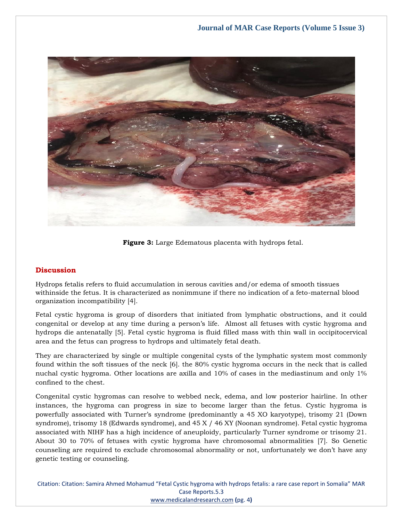

**Figure 3:** Large Edematous placenta with hydrops fetal.

# **Discussion**

Hydrops fetalis refers to fluid accumulation in serous cavities and/or edema of smooth tissues withinside the fetus. It is characterized as nonimmune if there no indication of a feto-maternal blood organization incompatibility [4].

Fetal cystic hygroma is group of disorders that initiated from lymphatic obstructions, and it could congenital or develop at any time during a person's life. Almost all fetuses with cystic hygroma and hydrops die antenatally [5]. Fetal cystic hygroma is fluid filled mass with thin wall in occipitocervical area and the fetus can progress to hydrops and ultimately fetal death.

They are characterized by single or multiple congenital cysts of the lymphatic system most commonly found within the soft tissues of the neck [6]. the 80% cystic hygroma occurs in the neck that is called nuchal cystic hygroma. Other locations are axilla and 10% of cases in the mediastinum and only 1% confined to the chest.

Congenital cystic hygromas can resolve to webbed neck, edema, and low posterior hairline. In other instances, the hygroma can progress in size to become larger than the fetus. Cystic hygroma is powerfully associated with Turner's syndrome (predominantly a 45 XO karyotype), trisomy 21 (Down syndrome), trisomy 18 (Edwards syndrome), and 45 X / 46 XY (Noonan syndrome). Fetal cystic hygroma associated with NIHF has a high incidence of aneuploidy, particularly Turner syndrome or trisomy 21. About 30 to 70% of fetuses with cystic hygroma have chromosomal abnormalities [7]. So Genetic counseling are required to exclude chromosomal abnormality or not, unfortunately we don't have any genetic testing or counseling.

Citation: Citation: Samira Ahmed Mohamud "Fetal Cystic hygroma with hydrops fetalis: a rare case report in Somalia" MAR Case Reports.5.3 [www.medicalandresearch.com](http://www.medicalandresearch.com/) **(**pg. 4**)**